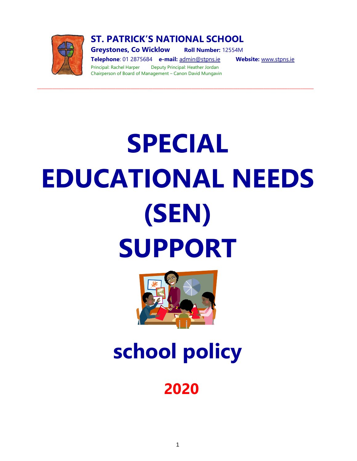

**ST. PATRICK'S NATIONAL SCHOOL**

**\_\_\_\_\_\_\_\_\_\_\_\_\_\_\_\_\_\_\_\_\_\_\_\_\_\_\_\_\_\_\_\_\_\_\_\_\_\_\_\_\_\_\_\_\_\_\_\_\_\_\_\_\_\_\_\_\_\_\_\_\_\_\_\_\_\_\_\_\_\_\_\_\_\_\_\_\_\_\_\_\_\_\_\_\_\_\_\_\_\_\_\_\_\_\_\_\_\_\_\_\_\_\_\_\_\_\_\_\_\_\_\_\_\_\_\_\_\_\_\_\_\_\_\_\_\_\_**

**Greystones, Co Wicklow Roll Number:** 12554M

**Telephone**: 01 2875684 **e-mail:** [admin@stpns.ie](mailto:admin@stpns.ie) **Website:** [www.stpns.ie](http://www.stpns.ie/) Principal: Rachel Harper Deputy Principal: Heather Jordan Chairperson of Board of Management – Canon David Mungavin

# **SPECIAL EDUCATIONAL NEEDS (SEN) SUPPORT**



**school policy** 

# **2020**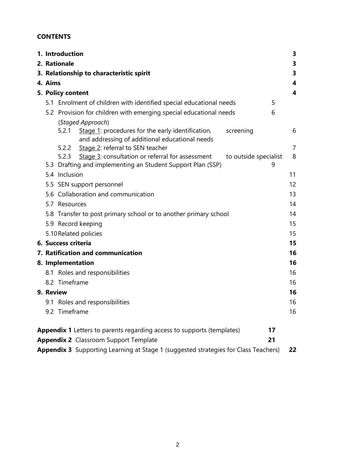# **CONTENTS**

|                                                                              |                                                                                           | 1. Introduction                                                                                              |                       | 3       |  |  |
|------------------------------------------------------------------------------|-------------------------------------------------------------------------------------------|--------------------------------------------------------------------------------------------------------------|-----------------------|---------|--|--|
|                                                                              |                                                                                           | 2. Rationale                                                                                                 |                       | 3       |  |  |
|                                                                              | 3. Relationship to characteristic spirit                                                  |                                                                                                              |                       |         |  |  |
|                                                                              | 4. Aims                                                                                   |                                                                                                              |                       |         |  |  |
|                                                                              | 5. Policy content                                                                         |                                                                                                              |                       |         |  |  |
|                                                                              |                                                                                           | 5.1 Enrolment of children with identified special educational needs                                          |                       | 5       |  |  |
|                                                                              |                                                                                           | 5.2 Provision for children with emerging special educational needs<br>(Staged Approach)                      |                       | 6       |  |  |
|                                                                              |                                                                                           | 5.2.1<br>Stage 1: procedures for the early identification,<br>and addressing of additional educational needs | screening             | 6       |  |  |
|                                                                              |                                                                                           | Stage 2: referral to SEN teacher<br>5.2.2<br>5.2.3<br>Stage 3: consultation or referral for assessment       | to outside specialist | 7<br>8  |  |  |
|                                                                              |                                                                                           | 5.3 Drafting and implementing an Student Support Plan (SSP)<br>5.4 Inclusion                                 |                       | 9<br>11 |  |  |
|                                                                              |                                                                                           | 5.5 SEN support personnel                                                                                    |                       | 12      |  |  |
|                                                                              |                                                                                           | 5.6 Collaboration and communication                                                                          |                       | 13      |  |  |
|                                                                              |                                                                                           | 5.7 Resources                                                                                                |                       | 14      |  |  |
|                                                                              |                                                                                           | 5.8 Transfer to post primary school or to another primary school                                             |                       | 14      |  |  |
|                                                                              | 5.9 Record keeping                                                                        |                                                                                                              |                       |         |  |  |
|                                                                              | 15<br>5.10 Related policies<br>15                                                         |                                                                                                              |                       |         |  |  |
|                                                                              |                                                                                           | 6. Success criteria                                                                                          |                       | 15      |  |  |
|                                                                              |                                                                                           | 7. Ratification and communication                                                                            |                       | 16      |  |  |
|                                                                              |                                                                                           | 8. Implementation                                                                                            |                       | 16      |  |  |
|                                                                              |                                                                                           | 8.1 Roles and responsibilities                                                                               |                       | 16      |  |  |
|                                                                              |                                                                                           | 8.2 Timeframe                                                                                                |                       | 16      |  |  |
|                                                                              |                                                                                           | 9. Review                                                                                                    |                       | 16      |  |  |
|                                                                              |                                                                                           | 9.1 Roles and responsibilities                                                                               |                       | 16      |  |  |
|                                                                              |                                                                                           | 9.2 Timeframe                                                                                                |                       | 16      |  |  |
| Appendix 1 Letters to parents regarding access to supports (templates)<br>17 |                                                                                           |                                                                                                              |                       |         |  |  |
|                                                                              |                                                                                           | <b>Appendix 2</b> Classroom Support Template                                                                 | 21                    |         |  |  |
|                                                                              | Appendix 3 Supporting Learning at Stage 1 (suggested strategies for Class Teachers)<br>22 |                                                                                                              |                       |         |  |  |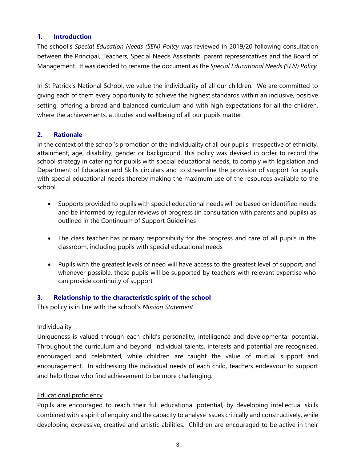# **1. Introduction**

The school's *Special Education Needs (SEN) Policy* was reviewed in 2019/20 following consultation between the Principal, Teachers, Special Needs Assistants, parent representatives and the Board of Management. It was decided to rename the document as the *Special Educational Needs (SEN) Policy.*

In St Patrick's National School, we value the individuality of all our children. We are committed to giving each of them every opportunity to achieve the highest standards within an inclusive, positive setting, offering a broad and balanced curriculum and with high expectations for all the children, where the achievements, attitudes and wellbeing of all our pupils matter.

# **2. Rationale**

In the context of the school's promotion of the individuality of all our pupils, irrespective of ethnicity, attainment, age, disability, gender or background, this policy was devised in order to record the school strategy in catering for pupils with special educational needs, to comply with legislation and Department of Education and Skills circulars and to streamline the provision of support for pupils with special educational needs thereby making the maximum use of the resources available to the school.

- Supports provided to pupils with special educational needs will be based on identified needs and be informed by regular reviews of progress (in consultation with parents and pupils) as outlined in the Continuum of Support Guidelines
- The class teacher has primary responsibility for the progress and care of all pupils in the classroom, including pupils with special educational needs
- Pupils with the greatest levels of need will have access to the greatest level of support, and whenever possible, these pupils will be supported by teachers with relevant expertise who can provide continuity of support

#### **3. Relationship to the characteristic spirit of the school**

This policy is in line with the school's *Mission Statement*.

#### Individuality

Uniqueness is valued through each child's personality, intelligence and developmental potential. Throughout the curriculum and beyond, individual talents, interests and potential are recognised, encouraged and celebrated, while children are taught the value of mutual support and encouragement. In addressing the individual needs of each child, teachers endeavour to support and help those who find achievement to be more challenging.

#### Educational proficiency

Pupils are encouraged to reach their full educational potential, by developing intellectual skills combined with a spirit of enquiry and the capacity to analyse issues critically and constructively, while developing expressive, creative and artistic abilities. Children are encouraged to be active in their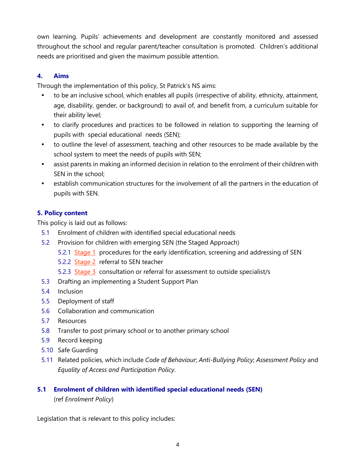own learning. Pupils' achievements and development are constantly monitored and assessed throughout the school and regular parent/teacher consultation is promoted. Children's additional needs are prioritised and given the maximum possible attention.

# **4. Aims**

Through the implementation of this policy, St Patrick's NS aims:

- to be an inclusive school, which enables all pupils (irrespective of ability, ethnicity, attainment, age, disability, gender, or background) to avail of, and benefit from, a curriculum suitable for their ability level;
- to clarify procedures and practices to be followed in relation to supporting the learning of pupils with special educational needs (SEN);
- to outline the level of assessment, teaching and other resources to be made available by the school system to meet the needs of pupils with SEN;
- assist parents in making an informed decision in relation to the enrolment of their children with SEN in the school;
- establish communication structures for the involvement of all the partners in the education of pupils with SEN.

# **5. Policy content**

This policy is laid out as follows:

- 5.1 Enrolment of children with identified special educational needs
- 5.2 Provision for children with emerging SEN (the Staged Approach)
	- 5.2.1 Stage 1 procedures for the early identification, screening and addressing of SEN
	- 5.2.2 Stage 2 referral to SEN teacher
	- 5.2.3 Stage 3 consultation or referral for assessment to outside specialist/s
- 5.3 Drafting an implementing a Student Support Plan
- 5.4 Inclusion
- 5.5 Deployment of staff
- 5.6 Collaboration and communication
- 5.7 Resources
- 5.8 Transfer to post primary school or to another primary school
- 5.9 Record keeping
- 5.10 Safe Guarding
- 5.11 Related policies, which include *Code of Behaviour*; *Anti-Bullying Policy*; *Assessment Policy* and *Equality of Access and Participation Policy*.

# **5.1 Enrolment of children with identified special educational needs (SEN)**

(ref *Enrolment Policy*)

Legislation that is relevant to this policy includes: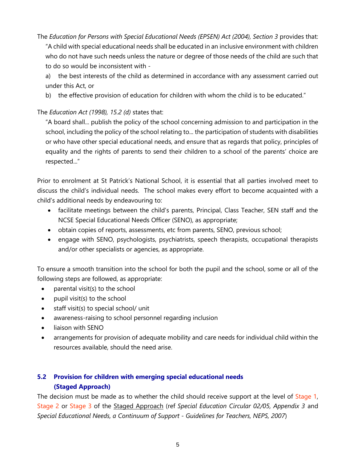The *Education for Persons with Special Educational Needs (EPSEN) Act (2004), Section 3* provides that: "A child with special educational needs shall be educated in an inclusive environment with children who do not have such needs unless the nature or degree of those needs of the child are such that to do so would be inconsistent with -

a) the best interests of the child as determined in accordance with any assessment carried out under this Act, or

b) the effective provision of education for children with whom the child is to be educated."

# The *Education Act (1998), 15.2 (d)* states that:

"A board shall... publish the policy of the school concerning admission to and participation in the school, including the policy of the school relating to... the participation of students with disabilities or who have other special educational needs, and ensure that as regards that policy, principles of equality and the rights of parents to send their children to a school of the parents' choice are respected..."

Prior to enrolment at St Patrick's National School, it is essential that all parties involved meet to discuss the child's individual needs. The school makes every effort to become acquainted with a child's additional needs by endeavouring to:

- facilitate meetings between the child's parents, Principal, Class Teacher, SEN staff and the NCSE Special Educational Needs Officer (SENO), as appropriate;
- obtain copies of reports, assessments, etc from parents, SENO, previous school;
- engage with SENO, psychologists, psychiatrists, speech therapists, occupational therapists and/or other specialists or agencies, as appropriate.

To ensure a smooth transition into the school for both the pupil and the school, some or all of the following steps are followed, as appropriate:

- parental visit(s) to the school
- pupil visit(s) to the school
- staff visit(s) to special school/ unit
- awareness-raising to school personnel regarding inclusion
- liaison with SENO
- arrangements for provision of adequate mobility and care needs for individual child within the resources available, should the need arise.

# **5.2 Provision for children with emerging special educational needs (Staged Approach)**

The decision must be made as to whether the child should receive support at the level of Stage 1, Stage 2 or Stage 3 of the Staged Approach (ref *Special Education Circular 02/05, Appendix 3* and *Special Educational Needs, a Continuum of Support - Guidelines for Teachers, NEPS, 2007*)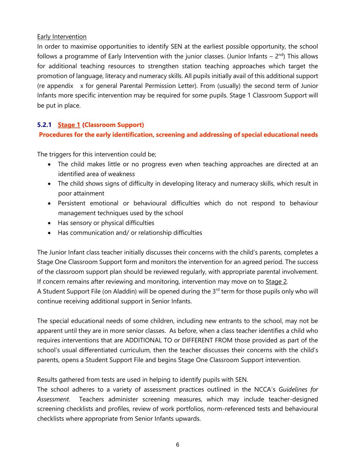# Early Intervention

In order to maximise opportunities to identify SEN at the earliest possible opportunity, the school follows a programme of Early Intervention with the junior classes. (Junior Infants  $-2<sup>nd</sup>$ ) This allows for additional teaching resources to strengthen station teaching approaches which target the promotion of language, literacy and numeracy skills. All pupils initially avail of this additional support (re appendix x for general Parental Permission Letter). From (usually) the second term of Junior Infants more specific intervention may be required for some pupils. Stage 1 Classroom Support will be put in place.

# **5.2.1 Stage 1 (Classroom Support)**

# **Procedures for the early identification, screening and addressing of special educational needs**

The triggers for this intervention could be;

- The child makes little or no progress even when teaching approaches are directed at an identified area of weakness
- The child shows signs of difficulty in developing literacy and numeracy skills, which result in poor attainment
- Persistent emotional or behavioural difficulties which do not respond to behaviour management techniques used by the school
- Has sensory or physical difficulties
- Has communication and/ or relationship difficulties

The Junior Infant class teacher initially discusses their concerns with the child's parents, completes a Stage One Classroom Support form and monitors the intervention for an agreed period. The success of the classroom support plan should be reviewed regularly, with appropriate parental involvement. If concern remains after reviewing and monitoring, intervention may move on to Stage 2.

A Student Support File (on Aladdin) will be opened during the  $3<sup>rd</sup>$  term for those pupils only who will continue receiving additional support in Senior Infants.

The special educational needs of some children, including new entrants to the school, may not be apparent until they are in more senior classes. As before, when a class teacher identifies a child who requires interventions that are ADDITIONAL TO or DIFFERENT FROM those provided as part of the school's usual differentiated curriculum, then the teacher discusses their concerns with the child's parents, opens a Student Support File and begins Stage One Classroom Support intervention.

Results gathered from tests are used in helping to identify pupils with SEN.

The school adheres to a variety of assessment practices outlined in the NCCA's *Guidelines for Assessment*. Teachers administer screening measures, which may include teacher-designed screening checklists and profiles, review of work portfolios, norm-referenced tests and behavioural checklists where appropriate from Senior Infants upwards.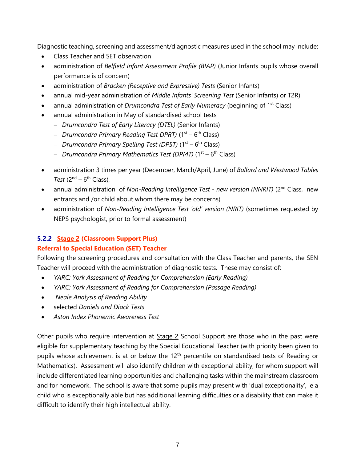Diagnostic teaching, screening and assessment/diagnostic measures used in the school may include:

- Class Teacher and SET observation
- administration of *Belfield Infant Assessment Profile (BIAP)* (Junior Infants pupils whose overall performance is of concern)
- administration of *Bracken (Receptive and Expressive) Tests* (Senior Infants)
- annual mid-year administration of *Middle Infants' Screening Test* (Senior Infants) or T2R)
- annual administration of *Drumcondra Test of Early Numeracy* (beginning of 1<sup>st</sup> Class)
- annual administration in May of standardised school tests
	- − *Drumcondra Test of Early Literacy (DTEL)* (Senior Infants)
	- − *Drumcondra Primary Reading Test DPRT)* (1st 6 th Class)
	- − *Drumcondra Primary Spelling Test (DPST)* (1st 6 th Class)
	- − *Drumcondra Primary Mathematics Test (DPMT)* (1st 6 th Class)
- administration 3 times per year (December, March/April, June) of *Ballard and Westwood Tables*  Test  $(2^{nd} – 6^{th}$  Class),
- annual administration of *Non-Reading Intelligence Test new version (NNRIT)* (2<sup>nd</sup> Class, new entrants and /or child about whom there may be concerns)
- administration of *Non-Reading Intelligence Test 'old' version (NRIT)* (sometimes requested by NEPS psychologist, prior to formal assessment)

# **5.2.2 Stage 2 (Classroom Support Plus)**

# **Referral to Special Education (SET) Teacher**

Following the screening procedures and consultation with the Class Teacher and parents, the SEN Teacher will proceed with the administration of diagnostic tests. These may consist of:

- *YARC: York Assessment of Reading for Comprehension (Early Reading)*
- *YARC: York Assessment of Reading for Comprehension (Passage Reading)*
- *Neale Analysis of Reading Ability*
- selected *Daniels and Diack Tests*
- *Aston Index Phonemic Awareness Test*

Other pupils who require intervention at Stage 2 School Support are those who in the past were eligible for supplementary teaching by the Special Educational Teacher (with priority been given to pupils whose achievement is at or below the 12<sup>th</sup> percentile on standardised tests of Reading or Mathematics). Assessment will also identify children with exceptional ability, for whom support will include differentiated learning opportunities and challenging tasks within the mainstream classroom and for homework. The school is aware that some pupils may present with 'dual exceptionality', ie a child who is exceptionally able but has additional learning difficulties or a disability that can make it difficult to identify their high intellectual ability.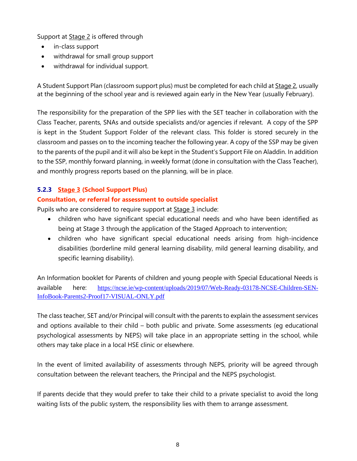Support at Stage 2 is offered through

- in-class support
- withdrawal for small group support
- withdrawal for individual support.

A Student Support Plan (classroom support plus) must be completed for each child at Stage 2, usually at the beginning of the school year and is reviewed again early in the New Year (usually February).

The responsibility for the preparation of the SPP lies with the SET teacher in collaboration with the Class Teacher, parents, SNAs and outside specialists and/or agencies if relevant. A copy of the SPP is kept in the Student Support Folder of the relevant class. This folder is stored securely in the classroom and passes on to the incoming teacher the following year. A copy of the SSP may be given to the parents of the pupil and it will also be kept in the Student's Support File on Aladdin. In addition to the SSP, monthly forward planning, in weekly format (done in consultation with the Class Teacher), and monthly progress reports based on the planning, will be in place.

# **5.2.3 Stage 3 (School Support Plus)**

# **Consultation, or referral for assessment to outside specialist**

Pupils who are considered to require support at Stage 3 include:

- children who have significant special educational needs and who have been identified as being at Stage 3 through the application of the Staged Approach to intervention;
- children who have significant special educational needs arising from high-incidence disabilities (borderline mild general learning disability, mild general learning disability, and specific learning disability).

An Information booklet for Parents of children and young people with Special Educational Needs is available here: [https://ncse.ie/wp-content/uploads/2019/07/Web-Ready-03178-NCSE-Children-SEN-](https://ncse.ie/wp-content/uploads/2019/07/Web-Ready-03178-NCSE-Children-SEN-InfoBook-Parents2-Proof17-VISUAL-ONLY.pdf)[InfoBook-Parents2-Proof17-VISUAL-ONLY.pdf](https://ncse.ie/wp-content/uploads/2019/07/Web-Ready-03178-NCSE-Children-SEN-InfoBook-Parents2-Proof17-VISUAL-ONLY.pdf)

The class teacher, SET and/or Principal will consult with the parents to explain the assessment services and options available to their child – both public and private. Some assessments (eg educational psychological assessments by NEPS) will take place in an appropriate setting in the school, while others may take place in a local HSE clinic or elsewhere.

In the event of limited availability of assessments through NEPS, priority will be agreed through consultation between the relevant teachers, the Principal and the NEPS psychologist.

If parents decide that they would prefer to take their child to a private specialist to avoid the long waiting lists of the public system, the responsibility lies with them to arrange assessment.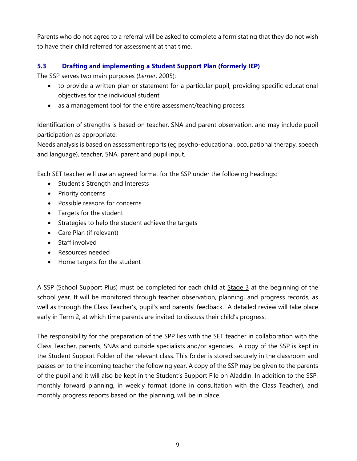Parents who do not agree to a referral will be asked to complete a form stating that they do not wish to have their child referred for assessment at that time.

# **5.3 Drafting and implementing a Student Support Plan (formerly IEP)**

The SSP serves two main purposes (*Lerner*, 2005):

- to provide a written plan or statement for a particular pupil, providing specific educational objectives for the individual student
- as a management tool for the entire assessment/teaching process.

Identification of strengths is based on teacher, SNA and parent observation, and may include pupil participation as appropriate.

Needs analysis is based on assessment reports (eg psycho-educational, occupational therapy, speech and language), teacher, SNA, parent and pupil input.

Each SET teacher will use an agreed format for the SSP under the following headings:

- Student's Strength and Interests
- Priority concerns
- Possible reasons for concerns
- Targets for the student
- Strategies to help the student achieve the targets
- Care Plan (if relevant)
- Staff involved
- Resources needed
- Home targets for the student

A SSP (School Support Plus) must be completed for each child at Stage 3 at the beginning of the school year. It will be monitored through teacher observation, planning, and progress records, as well as through the Class Teacher's, pupil's and parents' feedback. A detailed review will take place early in Term 2, at which time parents are invited to discuss their child's progress.

The responsibility for the preparation of the SPP lies with the SET teacher in collaboration with the Class Teacher, parents, SNAs and outside specialists and/or agencies. A copy of the SSP is kept in the Student Support Folder of the relevant class. This folder is stored securely in the classroom and passes on to the incoming teacher the following year. A copy of the SSP may be given to the parents of the pupil and it will also be kept in the Student's Support File on Aladdin. In addition to the SSP, monthly forward planning, in weekly format (done in consultation with the Class Teacher), and monthly progress reports based on the planning, will be in place.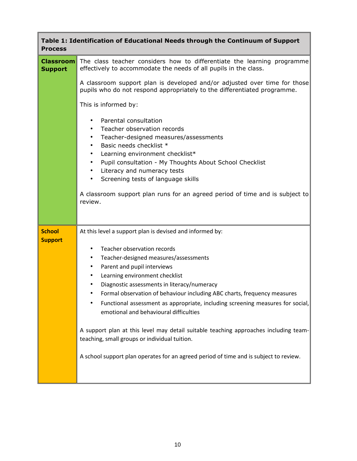| <b>Process</b>                     | Table 1: Identification of Educational Needs through the Continuum of Support                                                                                                                                                                                                                                                                                                                                                                                                                                                                                                                                                                                   |
|------------------------------------|-----------------------------------------------------------------------------------------------------------------------------------------------------------------------------------------------------------------------------------------------------------------------------------------------------------------------------------------------------------------------------------------------------------------------------------------------------------------------------------------------------------------------------------------------------------------------------------------------------------------------------------------------------------------|
| <b>Classroom</b><br><b>Support</b> | The class teacher considers how to differentiate the learning programme<br>effectively to accommodate the needs of all pupils in the class.                                                                                                                                                                                                                                                                                                                                                                                                                                                                                                                     |
|                                    | A classroom support plan is developed and/or adjusted over time for those<br>pupils who do not respond appropriately to the differentiated programme.                                                                                                                                                                                                                                                                                                                                                                                                                                                                                                           |
|                                    | This is informed by:                                                                                                                                                                                                                                                                                                                                                                                                                                                                                                                                                                                                                                            |
|                                    | Parental consultation<br>$\bullet$<br>Teacher observation records<br>Teacher-designed measures/assessments<br>٠<br>Basic needs checklist *<br>$\bullet$<br>Learning environment checklist*<br>٠<br>Pupil consultation - My Thoughts About School Checklist<br>$\bullet$<br>Literacy and numeracy tests<br>٠<br>Screening tests of language skills<br>$\bullet$<br>A classroom support plan runs for an agreed period of time and is subject to<br>review.                                                                                                                                                                                                       |
| <b>School</b>                      | At this level a support plan is devised and informed by:                                                                                                                                                                                                                                                                                                                                                                                                                                                                                                                                                                                                        |
| <b>Support</b>                     | Teacher observation records<br>$\bullet$<br>Teacher-designed measures/assessments<br>٠<br>Parent and pupil interviews<br>٠<br>Learning environment checklist<br>٠<br>Diagnostic assessments in literacy/numeracy<br>Formal observation of behaviour including ABC charts, frequency measures<br>Functional assessment as appropriate, including screening measures for social,<br>٠<br>emotional and behavioural difficulties<br>A support plan at this level may detail suitable teaching approaches including team-<br>teaching, small groups or individual tuition.<br>A school support plan operates for an agreed period of time and is subject to review. |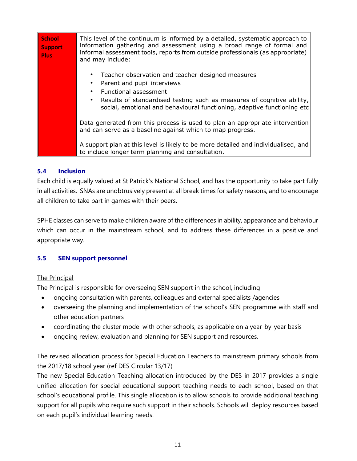| <b>School</b><br><b>Support</b><br><b>Plus</b> | This level of the continuum is informed by a detailed, systematic approach to<br>information gathering and assessment using a broad range of formal and<br>informal assessment tools, reports from outside professionals (as appropriate)<br>and may include:                    |
|------------------------------------------------|----------------------------------------------------------------------------------------------------------------------------------------------------------------------------------------------------------------------------------------------------------------------------------|
|                                                | Teacher observation and teacher-designed measures<br>Parent and pupil interviews<br>Functional assessment<br>$\bullet$<br>Results of standardised testing such as measures of cognitive ability,<br>٠<br>social, emotional and behavioural functioning, adaptive functioning etc |
|                                                | Data generated from this process is used to plan an appropriate intervention<br>and can serve as a baseline against which to map progress.                                                                                                                                       |
|                                                | A support plan at this level is likely to be more detailed and individualised, and<br>to include longer term planning and consultation.                                                                                                                                          |

# **5.4 Inclusion**

Each child is equally valued at St Patrick's National School, and has the opportunity to take part fully in all activities. SNAs are unobtrusively present at all break times for safety reasons, and to encourage all children to take part in games with their peers.

SPHE classes can serve to make children aware of the differences in ability, appearance and behaviour which can occur in the mainstream school, and to address these differences in a positive and appropriate way.

# **5.5 SEN support personnel**

# The Principal

The Principal is responsible for overseeing SEN support in the school, including

- ongoing consultation with parents, colleagues and external specialists /agencies
- overseeing the planning and implementation of the school's SEN programme with staff and other education partners
- coordinating the cluster model with other schools, as applicable on a year-by-year basis
- ongoing review, evaluation and planning for SEN support and resources.

# The revised allocation process for Special Education Teachers to mainstream primary schools from the 2017/18 school year (ref DES Circular 13/17)

The new Special Education Teaching allocation introduced by the DES in 2017 provides a single unified allocation for special educational support teaching needs to each school, based on that school's educational profile. This single allocation is to allow schools to provide additional teaching support for all pupils who require such support in their schools. Schools will deploy resources based on each pupil's individual learning needs.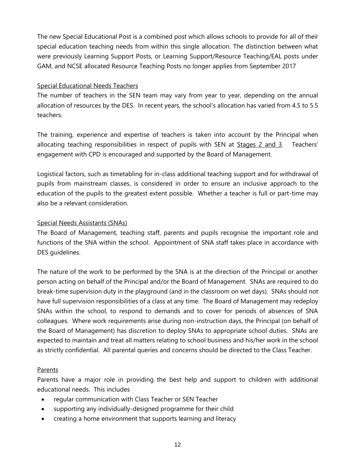The new Special Educational Post is a combined post which allows schools to provide for all of their special education teaching needs from within this single allocation. The distinction between what were previously Learning Support Posts, or Learning Support/Resource Teaching/EAL posts under GAM, and NCSE allocated Resource Teaching Posts no longer applies from September 2017

## Special Educational Needs Teachers

The number of teachers in the SEN team may vary from year to year, depending on the annual allocation of resources by the DES. In recent years, the school's allocation has varied from 4.5 to 5.5 teachers.

The training, experience and expertise of teachers is taken into account by the Principal when allocating teaching responsibilities in respect of pupils with SEN at **Stages 2 and 3**. Teachers' engagement with CPD is encouraged and supported by the Board of Management.

Logistical factors, such as timetabling for in-class additional teaching support and for withdrawal of pupils from mainstream classes, is considered in order to ensure an inclusive approach to the education of the pupils to the greatest extent possible. Whether a teacher is full or part-time may also be a relevant consideration.

#### Special Needs Assistants (SNAs)

The Board of Management, teaching staff, parents and pupils recognise the important role and functions of the SNA within the school. Appointment of SNA staff takes place in accordance with DES guidelines.

The nature of the work to be performed by the SNA is at the direction of the Principal or another person acting on behalf of the Principal and/or the Board of Management. SNAs are required to do break-time supervision duty in the playground (and in the classroom on wet days). SNAs should not have full supervision responsibilities of a class at any time. The Board of Management may redeploy SNAs within the school, to respond to demands and to cover for periods of absences of SNA colleagues. Where work requirements arise during non-instruction days, the Principal (on behalf of the Board of Management) has discretion to deploy SNAs to appropriate school duties. SNAs are expected to maintain and treat all matters relating to school business and his/her work in the school as strictly confidential. All parental queries and concerns should be directed to the Class Teacher.

# Parents

Parents have a major role in providing the best help and support to children with additional educational needs. This includes

- regular communication with Class Teacher or SEN Teacher
- supporting any individually-designed programme for their child
- creating a home environment that supports learning and literacy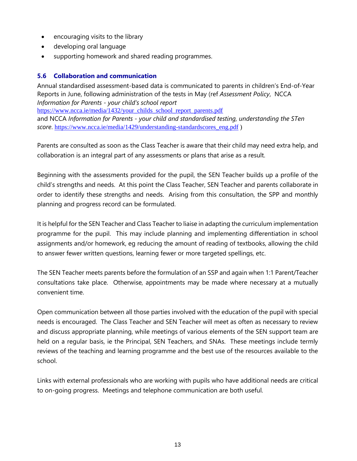- encouraging visits to the library
- developing oral language
- supporting homework and shared reading programmes.

# **5.6 Collaboration and communication**

Annual standardised assessment-based data is communicated to parents in children's End-of-Year Reports in June, following administration of the tests in May (ref *Assessment Policy*, NCCA *Information for Parents - your child's school report* [https://www.ncca.ie/media/1432/your\\_childs\\_school\\_report\\_parents.pdf](https://www.ncca.ie/media/1432/your_childs_school_report_parents.pdf)

and NCCA *Information for Parents - your child and standardised testing, understanding the STen score*. [https://www.ncca.ie/media/1429/understanding-standardscores\\_eng.pdf](https://www.ncca.ie/media/1429/understanding-standardscores_eng.pdf) )

Parents are consulted as soon as the Class Teacher is aware that their child may need extra help, and collaboration is an integral part of any assessments or plans that arise as a result.

Beginning with the assessments provided for the pupil, the SEN Teacher builds up a profile of the child's strengths and needs. At this point the Class Teacher, SEN Teacher and parents collaborate in order to identify these strengths and needs. Arising from this consultation, the SPP and monthly planning and progress record can be formulated.

It is helpful for the SEN Teacher and Class Teacher to liaise in adapting the curriculum implementation programme for the pupil. This may include planning and implementing differentiation in school assignments and/or homework, eg reducing the amount of reading of textbooks, allowing the child to answer fewer written questions, learning fewer or more targeted spellings, etc.

The SEN Teacher meets parents before the formulation of an SSP and again when 1:1 Parent/Teacher consultations take place. Otherwise, appointments may be made where necessary at a mutually convenient time.

Open communication between all those parties involved with the education of the pupil with special needs is encouraged. The Class Teacher and SEN Teacher will meet as often as necessary to review and discuss appropriate planning, while meetings of various elements of the SEN support team are held on a regular basis, ie the Principal, SEN Teachers, and SNAs. These meetings include termly reviews of the teaching and learning programme and the best use of the resources available to the school.

Links with external professionals who are working with pupils who have additional needs are critical to on-going progress. Meetings and telephone communication are both useful.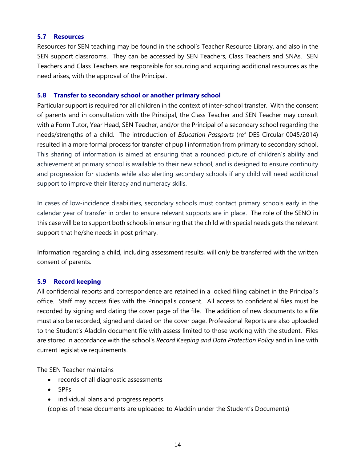#### **5.7 Resources**

Resources for SEN teaching may be found in the school's Teacher Resource Library, and also in the SEN support classrooms. They can be accessed by SEN Teachers, Class Teachers and SNAs. SEN Teachers and Class Teachers are responsible for sourcing and acquiring additional resources as the need arises, with the approval of the Principal.

#### **5.8 Transfer to secondary school or another primary school**

Particular support is required for all children in the context of inter-school transfer. With the consent of parents and in consultation with the Principal, the Class Teacher and SEN Teacher may consult with a Form Tutor, Year Head, SEN Teacher, and/or the Principal of a secondary school regarding the needs/strengths of a child. The introduction of *Education Passports* (ref DES Circular 0045/2014) resulted in a more formal process for transfer of pupil information from primary to secondary school. This sharing of information is aimed at ensuring that a rounded picture of children's ability and achievement at primary school is available to their new school, and is designed to ensure continuity and progression for students while also alerting secondary schools if any child will need additional support to improve their literacy and numeracy skills.

In cases of low-incidence disabilities, secondary schools must contact primary schools early in the calendar year of transfer in order to ensure relevant supports are in place. The role of the SENO in this case will be to support both schools in ensuring that the child with special needs gets the relevant support that he/she needs in post primary.

Information regarding a child, including assessment results, will only be transferred with the written consent of parents.

# **5.9 Record keeping**

All confidential reports and correspondence are retained in a locked filing cabinet in the Principal's office. Staff may access files with the Principal's consent. All access to confidential files must be recorded by signing and dating the cover page of the file. The addition of new documents to a file must also be recorded, signed and dated on the cover page. Professional Reports are also uploaded to the Student's Aladdin document file with assess limited to those working with the student. Files are stored in accordance with the school's *Record Keeping and Data Protection Policy* and in line with current legislative requirements.

The SEN Teacher maintains

- records of all diagnostic assessments
- SPFs
- individual plans and progress reports

(copies of these documents are uploaded to Aladdin under the Student's Documents)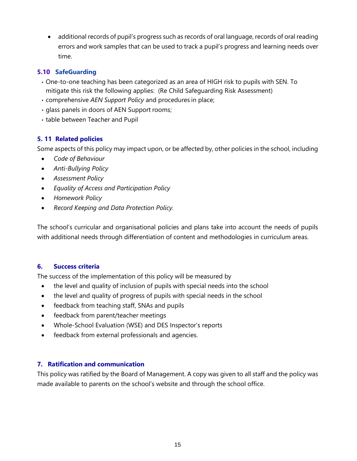• additional records of pupil's progress such as records of oral language, records of oral reading errors and work samples that can be used to track a pupil's progress and learning needs over time.

# **5.10 SafeGuarding**

- One-to-one teaching has been categorized as an area of HIGH risk to pupils with SEN. To mitigate this risk the following applies: (Re Child Safeguarding Risk Assessment)
- comprehensive *AEN Support Policy* and procedures in place;
- glass panels in doors of AEN Support rooms;
- table between Teacher and Pupil

# **5. 11 Related policies**

Some aspects of this policy may impact upon, or be affected by, other policies in the school, including

- *Code of Behaviour*
- *Anti-Bullying Policy*
- *Assessment Policy*
- *Equality of Access and Participation Policy*
- *Homework Policy*
- *Record Keeping and Data Protection Policy.*

The school's curricular and organisational policies and plans take into account the needs of pupils with additional needs through differentiation of content and methodologies in curriculum areas.

# **6. Success criteria**

The success of the implementation of this policy will be measured by

- the level and quality of inclusion of pupils with special needs into the school
- the level and quality of progress of pupils with special needs in the school
- feedback from teaching staff, SNAs and pupils
- feedback from parent/teacher meetings
- Whole-School Evaluation (WSE) and DES Inspector's reports
- feedback from external professionals and agencies.

# **7. Ratification and communication**

This policy was ratified by the Board of Management. A copy was given to all staff and the policy was made available to parents on the school's website and through the school office.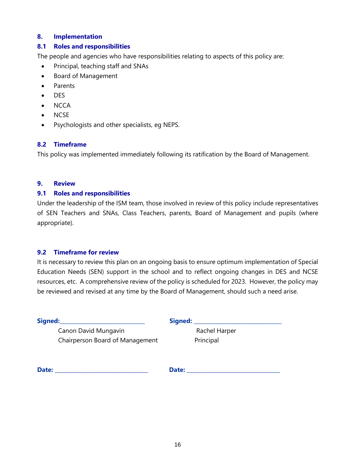#### **8. Implementation**

#### **8.1 Roles and responsibilities**

The people and agencies who have responsibilities relating to aspects of this policy are:

- Principal, teaching staff and SNAs
- Board of Management
- Parents
- DES
- NCCA
- NCSE
- Psychologists and other specialists, eg NEPS.

#### **8.2 Timeframe**

This policy was implemented immediately following its ratification by the Board of Management.

#### **9. Review**

#### **9.1 Roles and responsibilities**

Under the leadership of the ISM team, those involved in review of this policy include representatives of SEN Teachers and SNAs, Class Teachers, parents, Board of Management and pupils (where appropriate).

#### **9.2 Timeframe for review**

It is necessary to review this plan on an ongoing basis to ensure optimum implementation of Special Education Needs (SEN) support in the school and to reflect ongoing changes in DES and NCSE resources, etc. A comprehensive review of the policy is scheduled for 2023. However, the policy may be reviewed and revised at any time by the Board of Management, should such a need arise.

| Signed:                         | Signed:       |
|---------------------------------|---------------|
| Canon David Mungavin            | Rachel Harper |
| Chairperson Board of Management | Principal     |
| Date:                           | Date:         |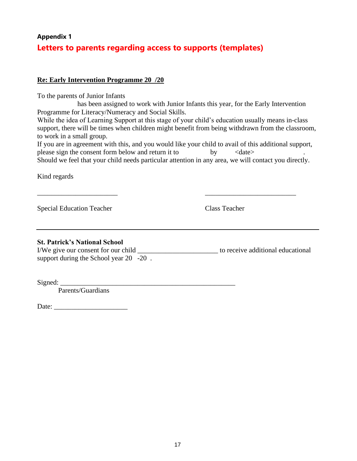# **Appendix 1 Letters to parents regarding access to supports (templates)**

## **Re: Early Intervention Programme 20 /20**

To the parents of Junior Infants

 has been assigned to work with Junior Infants this year, for the Early Intervention Programme for Literacy/Numeracy and Social Skills.

While the idea of Learning Support at this stage of your child's education usually means in-class support, there will be times when children might benefit from being withdrawn from the classroom, to work in a small group.

If you are in agreement with this, and you would like your child to avail of this additional support, please sign the consent form below and return it to by  $\langle date \rangle$ 

Should we feel that your child needs particular attention in any area, we will contact you directly.

\_\_\_\_\_\_\_\_\_\_\_\_\_\_\_\_\_\_\_\_\_\_\_ \_\_\_\_\_\_\_\_\_\_\_\_\_\_\_\_\_\_\_\_\_\_\_\_\_\_

Kind regards

Special Education Teacher Class Teacher Class Teacher

# **St. Patrick's National School**

I/We give our consent for our child \_\_\_\_\_\_\_\_\_\_\_\_\_\_\_\_\_\_\_\_\_\_\_ to receive additional educational support during the School year 20 -20.

 $Signed:$ 

Parents/Guardians

Date: \_\_\_\_\_\_\_\_\_\_\_\_\_\_\_\_\_\_\_\_\_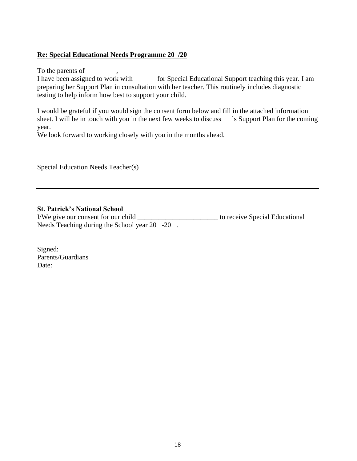# **Re: Special Educational Needs Programme 20 /20**

To the parents of

I have been assigned to work with for Special Educational Support teaching this year. I am preparing her Support Plan in consultation with her teacher. This routinely includes diagnostic testing to help inform how best to support your child.

I would be grateful if you would sign the consent form below and fill in the attached information sheet. I will be in touch with you in the next few weeks to discuss 's Support Plan for the coming year.

We look forward to working closely with you in the months ahead.

\_\_\_\_\_\_\_\_\_\_\_\_\_\_\_\_\_\_\_\_\_\_\_\_\_\_\_\_\_\_\_\_\_\_\_\_\_\_\_\_\_\_\_\_\_\_\_

Special Education Needs Teacher(s)

#### **St. Patrick's National School**

I/We give our consent for our child \_\_\_\_\_\_\_\_\_\_\_\_\_\_\_\_\_\_\_\_\_\_\_ to receive Special Educational Needs Teaching during the School year 20 -20.

| Signed:           |  |  |
|-------------------|--|--|
| Parents/Guardians |  |  |
| Date:             |  |  |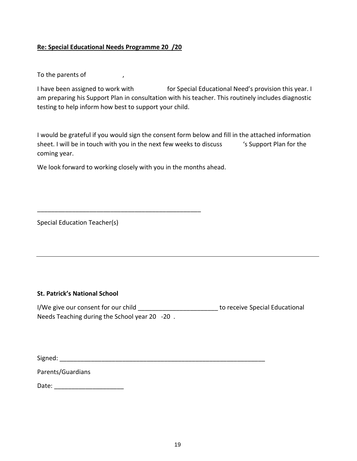#### **Re: Special Educational Needs Programme 20 /20**

To the parents of  $\qquad \qquad ,$ 

I have been assigned to work with for Special Educational Need's provision this year. I am preparing his Support Plan in consultation with his teacher. This routinely includes diagnostic testing to help inform how best to support your child.

I would be grateful if you would sign the consent form below and fill in the attached information sheet. I will be in touch with you in the next few weeks to discuss 's Support Plan for the coming year.

We look forward to working closely with you in the months ahead.

\_\_\_\_\_\_\_\_\_\_\_\_\_\_\_\_\_\_\_\_\_\_\_\_\_\_\_\_\_\_\_\_\_\_\_\_\_\_\_\_\_\_\_\_\_\_\_

Special Education Teacher(s)

#### **St. Patrick's National School**

I/We give our consent for our child and the section of the conservational states of the special Educational Needs Teaching during the School year 20 -20 .

Signed: \_\_\_\_\_\_\_\_\_\_\_\_\_\_\_\_\_\_\_\_\_\_\_\_\_\_\_\_\_\_\_\_\_\_\_\_\_\_\_\_\_\_\_\_\_\_\_\_\_\_\_\_\_\_\_\_\_\_\_

Parents/Guardians

Date: \_\_\_\_\_\_\_\_\_\_\_\_\_\_\_\_\_\_\_\_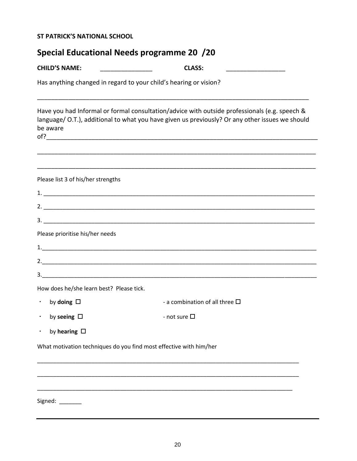# **ST PATRICK'S NATIONAL SCHOOL**

| <b>CHILD'S NAME:</b>                                              | <b>CLASS:</b>                                                                                                                                                                                           |  |  |  |  |  |
|-------------------------------------------------------------------|---------------------------------------------------------------------------------------------------------------------------------------------------------------------------------------------------------|--|--|--|--|--|
| Has anything changed in regard to your child's hearing or vision? |                                                                                                                                                                                                         |  |  |  |  |  |
| be aware                                                          | Have you had Informal or formal consultation/advice with outside professionals (e.g. speech &<br>language/ O.T.), additional to what you have given us previously? Or any other issues we should<br>of? |  |  |  |  |  |
|                                                                   |                                                                                                                                                                                                         |  |  |  |  |  |
| Please list 3 of his/her strengths                                |                                                                                                                                                                                                         |  |  |  |  |  |
|                                                                   |                                                                                                                                                                                                         |  |  |  |  |  |
|                                                                   |                                                                                                                                                                                                         |  |  |  |  |  |
|                                                                   |                                                                                                                                                                                                         |  |  |  |  |  |
| Please prioritise his/her needs                                   |                                                                                                                                                                                                         |  |  |  |  |  |
|                                                                   |                                                                                                                                                                                                         |  |  |  |  |  |
|                                                                   |                                                                                                                                                                                                         |  |  |  |  |  |
|                                                                   |                                                                                                                                                                                                         |  |  |  |  |  |
| How does he/she learn best? Please tick.                          |                                                                                                                                                                                                         |  |  |  |  |  |
| $\cdot$ by doing $\Box$                                           | - a combination of all three $\square$                                                                                                                                                                  |  |  |  |  |  |
| by seeing $\Box$                                                  | - not sure $\square$                                                                                                                                                                                    |  |  |  |  |  |
| by hearing $\Box$<br>٠                                            |                                                                                                                                                                                                         |  |  |  |  |  |
|                                                                   | What motivation techniques do you find most effective with him/her                                                                                                                                      |  |  |  |  |  |
|                                                                   |                                                                                                                                                                                                         |  |  |  |  |  |
|                                                                   |                                                                                                                                                                                                         |  |  |  |  |  |
|                                                                   |                                                                                                                                                                                                         |  |  |  |  |  |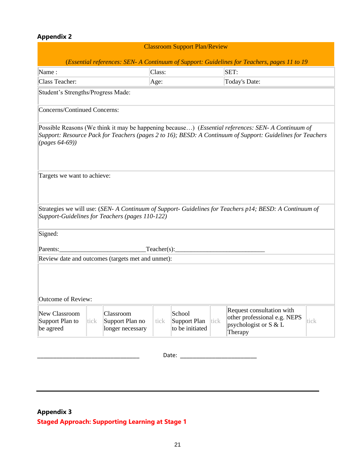# **Appendix 2**

| <b>Classroom Support Plan/Review</b>                                                        |      |                                                   |        |                                           |      |                                                                                                                                                                                                                         |      |  |
|---------------------------------------------------------------------------------------------|------|---------------------------------------------------|--------|-------------------------------------------|------|-------------------------------------------------------------------------------------------------------------------------------------------------------------------------------------------------------------------------|------|--|
| (Essential references: SEN- A Continuum of Support: Guidelines for Teachers, pages 11 to 19 |      |                                                   |        |                                           |      |                                                                                                                                                                                                                         |      |  |
| Name:                                                                                       |      |                                                   | Class: |                                           |      | SET:                                                                                                                                                                                                                    |      |  |
| Class Teacher:                                                                              |      |                                                   | Age:   |                                           |      | Today's Date:                                                                                                                                                                                                           |      |  |
| Student's Strengths/Progress Made:                                                          |      |                                                   |        |                                           |      |                                                                                                                                                                                                                         |      |  |
| Concerns/Continued Concerns:                                                                |      |                                                   |        |                                           |      |                                                                                                                                                                                                                         |      |  |
| ( <i>pages</i> $64-69$ )                                                                    |      |                                                   |        |                                           |      | Possible Reasons (We think it may be happening because) ( <i>Essential references: SEN-A Continuum of</i><br>Support: Resource Pack for Teachers (pages 2 to 16); BESD: A Continuum of Support: Guidelines for Teachers |      |  |
| Targets we want to achieve:                                                                 |      |                                                   |        |                                           |      |                                                                                                                                                                                                                         |      |  |
|                                                                                             |      | Support-Guidelines for Teachers (pages 110-122)   |        |                                           |      | Strategies we will use: (SEN- A Continuum of Support- Guidelines for Teachers p14; BESD: A Continuum of                                                                                                                 |      |  |
| Signed:                                                                                     |      |                                                   |        |                                           |      |                                                                                                                                                                                                                         |      |  |
| Teacher(s):<br>Parents:                                                                     |      |                                                   |        |                                           |      |                                                                                                                                                                                                                         |      |  |
|                                                                                             |      | Review date and outcomes (targets met and unmet): |        |                                           |      |                                                                                                                                                                                                                         |      |  |
| Outcome of Review:                                                                          |      |                                                   |        |                                           |      |                                                                                                                                                                                                                         |      |  |
| New Classroom<br>Support Plan to<br>be agreed                                               | tick | Classroom<br>Support Plan no<br>longer necessary  | tick   | School<br>Support Plan<br>to be initiated | tick | Request consultation with<br>other professional e.g. NEPS<br>psychologist or $S & L$<br>Therapy                                                                                                                         | tick |  |
|                                                                                             |      |                                                   |        | Date:                                     |      |                                                                                                                                                                                                                         |      |  |

# **Appendix 3 Staged Approach: Supporting Learning at Stage 1**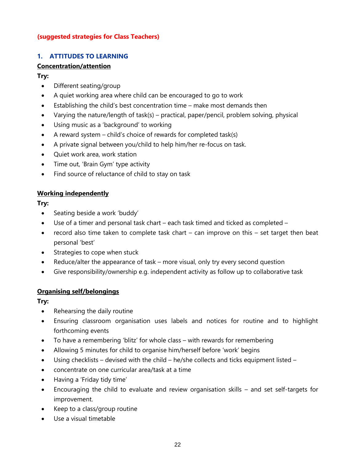#### **(suggested strategies for Class Teachers)**

# **1. ATTITUDES TO LEARNING**

# **Concentration/attention**

# **Try:**

- Different seating/group
- A quiet working area where child can be encouraged to go to work
- Establishing the child's best concentration time make most demands then
- Varying the nature/length of task(s) practical, paper/pencil, problem solving, physical
- Using music as a 'background' to working
- A reward system  $-$  child's choice of rewards for completed task(s)
- A private signal between you/child to help him/her re-focus on task.
- Quiet work area, work station
- Time out, 'Brain Gym' type activity
- Find source of reluctance of child to stay on task

# **Working independently**

# **Try:**

- Seating beside a work 'buddy'
- Use of a timer and personal task chart each task timed and ticked as completed –
- record also time taken to complete task chart can improve on this set target then beat personal 'best'
- Strategies to cope when stuck
- Reduce/alter the appearance of task more visual, only try every second question
- Give responsibility/ownership e.g. independent activity as follow up to collaborative task

# **Organising self/belongings**

- Rehearsing the daily routine
- Ensuring classroom organisation uses labels and notices for routine and to highlight forthcoming events
- To have a remembering 'blitz' for whole class with rewards for remembering
- Allowing 5 minutes for child to organise him/herself before 'work' begins
- Using checklists devised with the child he/she collects and ticks equipment listed –
- concentrate on one curricular area/task at a time
- Having a 'Friday tidy time'
- Encouraging the child to evaluate and review organisation skills and set self-targets for improvement.
- Keep to a class/group routine
- Use a visual timetable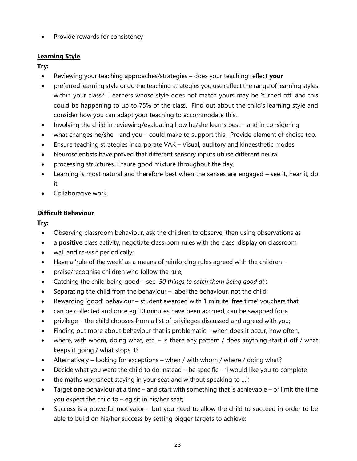• Provide rewards for consistency

# **Learning Style**

**Try:** 

- Reviewing your teaching approaches/strategies does your teaching reflect **your**
- preferred learning style or do the teaching strategies you use reflect the range of learning styles within your class? Learners whose style does not match yours may be 'turned off' and this could be happening to up to 75% of the class. Find out about the child's learning style and consider how you can adapt your teaching to accommodate this.
- Involving the child in reviewing/evaluating how he/she learns best and in considering
- what changes he/she and you could make to support this. Provide element of choice too.
- Ensure teaching strategies incorporate VAK Visual, auditory and kinaesthetic modes.
- Neuroscientists have proved that different sensory inputs utilise different neural
- processing structures. Ensure good mixture throughout the day.
- Learning is most natural and therefore best when the senses are engaged see it, hear it, do it.
- Collaborative work.

# **Difficult Behaviour**

- Observing classroom behaviour, ask the children to observe, then using observations as
- a **positive** class activity, negotiate classroom rules with the class, display on classroom
- wall and re-visit periodically;
- Have a 'rule of the week' as a means of reinforcing rules agreed with the children –
- praise/recognise children who follow the rule;
- Catching the child being good see '*50 things to catch them being good at*';
- Separating the child from the behaviour label the behaviour, not the child;
- Rewarding 'good' behaviour student awarded with 1 minute 'free time' vouchers that
- can be collected and once eg 10 minutes have been accrued, can be swapped for a
- privilege the child chooses from a list of privileges discussed and agreed with you;
- Finding out more about behaviour that is problematic when does it occur, how often,
- where, with whom, doing what, etc. is there any pattern / does anything start it off / what keeps it going / what stops it?
- Alternatively looking for exceptions when / with whom / where / doing what?
- Decide what you want the child to do instead  $-$  be specific  $-$  'I would like you to complete
- the maths worksheet staying in your seat and without speaking to ...';
- Target **one** behaviour at a time and start with something that is achievable or limit the time you expect the child to  $-$  eg sit in his/her seat;
- Success is a powerful motivator but you need to allow the child to succeed in order to be able to build on his/her success by setting bigger targets to achieve;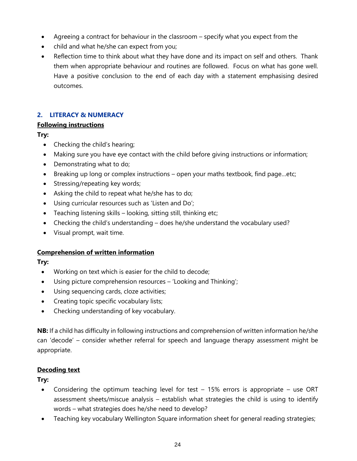- Agreeing a contract for behaviour in the classroom specify what you expect from the
- child and what he/she can expect from you;
- Reflection time to think about what they have done and its impact on self and others. Thank them when appropriate behaviour and routines are followed. Focus on what has gone well. Have a positive conclusion to the end of each day with a statement emphasising desired outcomes.

# **2. LITERACY & NUMERACY**

# **Following instructions**

**Try:** 

- Checking the child's hearing;
- Making sure you have eye contact with the child before giving instructions or information;
- Demonstrating what to do;
- Breaking up long or complex instructions open your maths textbook, find page...etc;
- Stressing/repeating key words;
- Asking the child to repeat what he/she has to do;
- Using curricular resources such as 'Listen and Do';
- Teaching listening skills looking, sitting still, thinking etc;
- Checking the child's understanding does he/she understand the vocabulary used?
- Visual prompt, wait time.

# **Comprehension of written information**

**Try:** 

- Working on text which is easier for the child to decode;
- Using picture comprehension resources 'Looking and Thinking';
- Using sequencing cards, cloze activities;
- Creating topic specific vocabulary lists;
- Checking understanding of key vocabulary.

**NB:** If a child has difficulty in following instructions and comprehension of written information he/she can 'decode' – consider whether referral for speech and language therapy assessment might be appropriate.

# **Decoding text**

- Considering the optimum teaching level for test 15% errors is appropriate use ORT assessment sheets/miscue analysis – establish what strategies the child is using to identify words – what strategies does he/she need to develop?
- Teaching key vocabulary Wellington Square information sheet for general reading strategies;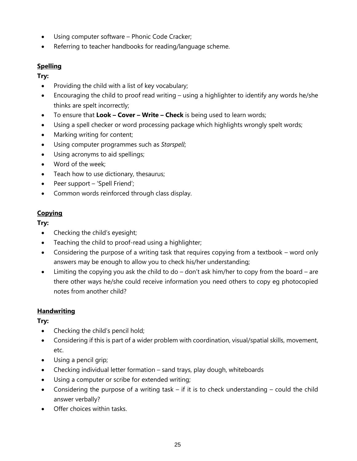- Using computer software Phonic Code Cracker;
- Referring to teacher handbooks for reading/language scheme.

# **Spelling**

**Try:** 

- Providing the child with a list of key vocabulary;
- Encouraging the child to proof read writing using a highlighter to identify any words he/she thinks are spelt incorrectly;
- To ensure that **Look – Cover – Write – Check** is being used to learn words;
- Using a spell checker or word processing package which highlights wrongly spelt words;
- Marking writing for content;
- Using computer programmes such as *Starspell*;
- Using acronyms to aid spellings;
- Word of the week;
- Teach how to use dictionary, thesaurus;
- Peer support 'Spell Friend';
- Common words reinforced through class display.

# **Copying**

**Try:** 

- Checking the child's eyesight;
- Teaching the child to proof-read using a highlighter;
- Considering the purpose of a writing task that requires copying from a textbook word only answers may be enough to allow you to check his/her understanding;
- Limiting the copying you ask the child to do don't ask him/her to copy from the board are there other ways he/she could receive information you need others to copy eg photocopied notes from another child?

# **Handwriting**

- Checking the child's pencil hold;
- Considering if this is part of a wider problem with coordination, visual/spatial skills, movement, etc.
- Using a pencil grip;
- Checking individual letter formation sand trays, play dough, whiteboards
- Using a computer or scribe for extended writing;
- Considering the purpose of a writing task if it is to check understanding could the child answer verbally?
- Offer choices within tasks.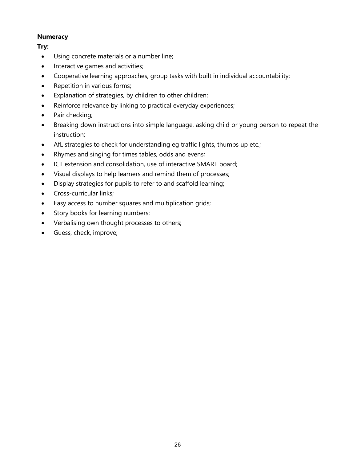## **Numeracy**

- Using concrete materials or a number line;
- Interactive games and activities;
- Cooperative learning approaches, group tasks with built in individual accountability;
- Repetition in various forms;
- Explanation of strategies, by children to other children;
- Reinforce relevance by linking to practical everyday experiences;
- Pair checking;
- Breaking down instructions into simple language, asking child or young person to repeat the instruction;
- AfL strategies to check for understanding eg traffic lights, thumbs up etc.;
- Rhymes and singing for times tables, odds and evens;
- ICT extension and consolidation, use of interactive SMART board;
- Visual displays to help learners and remind them of processes;
- Display strategies for pupils to refer to and scaffold learning;
- Cross-curricular links;
- Easy access to number squares and multiplication grids;
- Story books for learning numbers;
- Verbalising own thought processes to others;
- Guess, check, improve;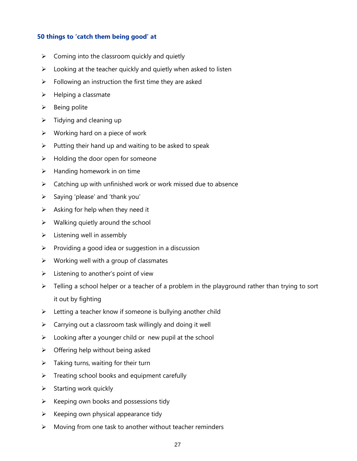#### **50 things to 'catch them being good' at**

- $\triangleright$  Coming into the classroom quickly and quietly
- $\triangleright$  Looking at the teacher quickly and quietly when asked to listen
- $\triangleright$  Following an instruction the first time they are asked
- $\triangleright$  Helping a classmate
- $\triangleright$  Being polite
- $\triangleright$  Tidying and cleaning up
- $\triangleright$  Working hard on a piece of work
- $\triangleright$  Putting their hand up and waiting to be asked to speak
- $\triangleright$  Holding the door open for someone
- $\triangleright$  Handing homework in on time
- $\triangleright$  Catching up with unfinished work or work missed due to absence
- $\triangleright$  Saying 'please' and 'thank you'
- $\triangleright$  Asking for help when they need it
- $\triangleright$  Walking quietly around the school
- $\triangleright$  Listening well in assembly
- $\triangleright$  Providing a good idea or suggestion in a discussion
- $\triangleright$  Working well with a group of classmates
- $\triangleright$  Listening to another's point of view
- $\triangleright$  Telling a school helper or a teacher of a problem in the playground rather than trying to sort it out by fighting
- ➢ Letting a teacher know if someone is bullying another child
- $\triangleright$  Carrying out a classroom task willingly and doing it well
- $\triangleright$  Looking after a younger child or new pupil at the school
- $\triangleright$  Offering help without being asked
- $\triangleright$  Taking turns, waiting for their turn
- ➢ Treating school books and equipment carefully
- $\triangleright$  Starting work quickly
- $\triangleright$  Keeping own books and possessions tidy
- $\triangleright$  Keeping own physical appearance tidy
- ➢ Moving from one task to another without teacher reminders